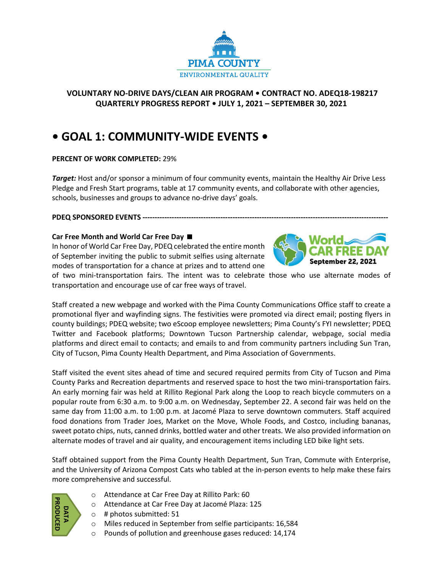

## **VOLUNTARY NO-DRIVE DAYS/CLEAN AIR PROGRAM • CONTRACT NO. ADEQ18-198217 QUARTERLY PROGRESS REPORT • JULY 1, 2021 – SEPTEMBER 30, 2021**

# **• GOAL 1: COMMUNITY-WIDE EVENTS •**

### **PERCENT OF WORK COMPLETED:** 29%

*Target:* Host and/or sponsor a minimum of four community events, maintain the Healthy Air Drive Less Pledge and Fresh Start programs, table at 17 community events, and collaborate with other agencies, schools, businesses and groups to advance no-drive days' goals.

### **PDEQ SPONSORED EVENTS -----------------------------------------------------------------------------------------------------**

### **Car Free Month and World Car Free Day**

In honor of World Car Free Day, PDEQ celebrated the entire month of September inviting the public to submit selfies using alternate modes of transportation for a chance at prizes and to attend one



of two mini-transportation fairs. The intent was to celebrate those who use alternate modes of transportation and encourage use of car free ways of travel.

Staff created a new webpage and worked with the Pima County Communications Office staff to create a promotional flyer and wayfinding signs. The festivities were promoted via direct email; posting flyers in county buildings; PDEQ website; two eScoop employee newsletters; Pima County's FYI newsletter; PDEQ Twitter and Facebook platforms; Downtown Tucson Partnership calendar, webpage, social media platforms and direct email to contacts; and emails to and from community partners including Sun Tran, City of Tucson, Pima County Health Department, and Pima Association of Governments.

Staff visited the event sites ahead of time and secured required permits from City of Tucson and Pima County Parks and Recreation departments and reserved space to host the two mini-transportation fairs. An early morning fair was held at Rillito Regional Park along the Loop to reach bicycle commuters on a popular route from 6:30 a.m. to 9:00 a.m. on Wednesday, September 22. A second fair was held on the same day from 11:00 a.m. to 1:00 p.m. at Jacomé Plaza to serve downtown commuters. Staff acquired food donations from Trader Joes, Market on the Move, Whole Foods, and Costco, including bananas, sweet potato chips, nuts, canned drinks, bottled water and other treats. We also provided information on alternate modes of travel and air quality, and encouragement items including LED bike light sets.

Staff obtained support from the Pima County Health Department, Sun Tran, Commute with Enterprise, and the University of Arizona Compost Cats who tabled at the in-person events to help make these fairs more comprehensive and successful.



- o Attendance at Car Free Day at Rillito Park: 60
- o Attendance at Car Free Day at Jacomé Plaza: 125
- $\circ$  # photos submitted: 51
- o Miles reduced in September from selfie participants: 16,584
- o Pounds of pollution and greenhouse gases reduced: 14,174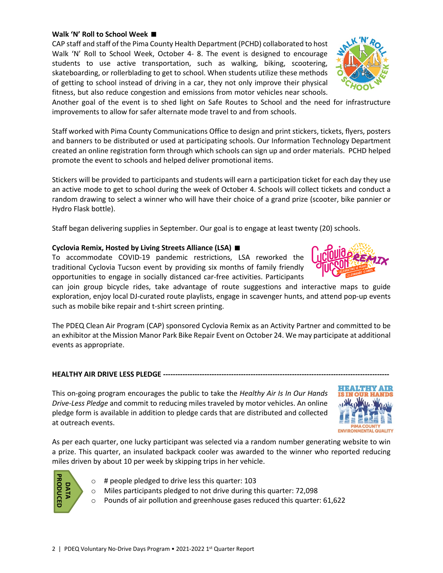### 2 | PDEQ Voluntary No-Drive Days Program • 2021-2022 1st Quarter Report

#### **Walk 'N' Roll to School Week**

CAP staff and staff of the Pima County Health Department (PCHD) collaborated to host Walk 'N' Roll to School Week, October 4- 8. The event is designed to encourage students to use active transportation, such as walking, biking, scootering, skateboarding, or rollerblading to get to school. When students utilize these methods of getting to school instead of driving in a car, they not only improve their physical fitness, but also reduce congestion and emissions from motor vehicles near schools.

Another goal of the event is to shed light on Safe Routes to School and the need for infrastructure improvements to allow for safer alternate mode travel to and from schools.

Staff worked with Pima County Communications Office to design and print stickers, tickets, flyers, posters and banners to be distributed or used at participating schools. Our Information Technology Department created an online registration form through which schools can sign up and order materials. PCHD helped promote the event to schools and helped deliver promotional items.

Stickers will be provided to participants and students will earn a participation ticket for each day they use an active mode to get to school during the week of October 4. Schools will collect tickets and conduct a random drawing to select a winner who will have their choice of a grand prize (scooter, bike pannier or Hydro Flask bottle).

Staff began delivering supplies in September. Our goal is to engage at least twenty (20) schools.

### **Cyclovia Remix, Hosted by Living Streets Alliance (LSA)**

To accommodate COVID-19 pandemic restrictions, LSA reworked the traditional Cyclovia Tucson event by providing six months of family friendly opportunities to engage in socially distanced car-free activities. Participants

can join group bicycle rides, take advantage of route suggestions and interactive maps to guide exploration, enjoy local DJ-curated route playlists, engage in scavenger hunts, and attend pop-up events such as mobile bike repair and t-shirt screen printing.

The PDEQ Clean Air Program (CAP) sponsored Cyclovia Remix as an Activity Partner and committed to be an exhibitor at the Mission Manor Park Bike Repair Event on October 24. We may participate at additional events as appropriate.

### **HEALTHY AIR DRIVE LESS PLEDGE ------------------**

This on-going program encourages the public to take the *Healthy Air Is In Our Hands Drive-Less Pledge* and commit to reducing miles traveled by motor vehicles. An online pledge form is available in addition to pledge cards that are distributed and collected at outreach events.

As per each quarter, one lucky participant was selected via a random number generating website to win a prize. This quarter, an insulated backpack cooler was awarded to the winner who reported reducing miles driven by about 10 per week by skipping trips in her vehicle.

- $\circ$  # people pledged to drive less this quarter: 103
- o Miles participants pledged to not drive during this quarter: 72,098
- o Pounds of air pollution and greenhouse gases reduced this quarter: 61,622









**DATA PRODUCED**

PRODUCEI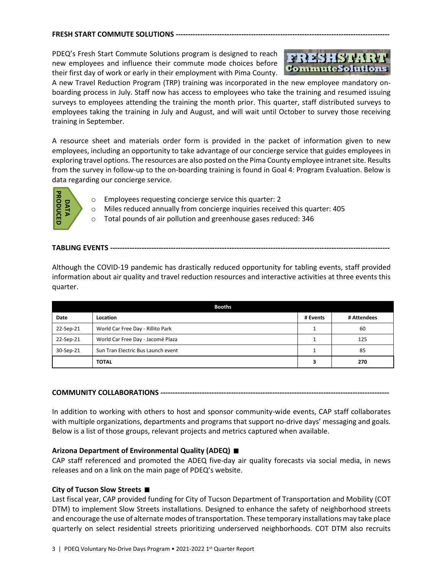#### **FRESH START COMMUTE SOLUTIONS --------**

PDEQ's Fresh Start Commute Solutions program is designed to reach new employees and influence their commute mode choices before their first day of work or early in their employment with Pima County.



A new Travel Reduction Program (TRP) training was incorporated in the new employee mandatory onboarding process in July. Staff now has access to employees who take the training and resumed issuing surveys to employees attending the training the month prior. This quarter, staff distributed surveys to employees taking the training in July and August, and will wait until October to survey those receiving training in September.

A resource sheet and materials order form is provided in the packet of information given to new employees, including an opportunity to take advantage of our concierge service that guides employees in exploring travel options. The resources are also posted on the Pima County employee intranet site. Results from the survey in follow-up to the on-boarding training is found in Goal 4: Program Evaluation. Below is data regarding our concierge service.



- o Employees requesting concierge service this quarter: 2
- o Miles reduced annually from concierge inquiries received this quarter: 405
- o Total pounds of air pollution and greenhouse gases reduced: 346

## **TABLING EVENTS -------------------------------------------------------------------------------------------------------------------**

| PRODUCED<br>DATA | Employees requesting concierge service this quarter: 2<br>$\circ$<br>Miles reduced annually from concierge inquiries received this quarter: 405<br>$\circ$<br>Total pounds of air pollution and greenhouse gases reduced: 346<br>$\circ$                                                                                                                                                                                                                               |                  |             |
|------------------|------------------------------------------------------------------------------------------------------------------------------------------------------------------------------------------------------------------------------------------------------------------------------------------------------------------------------------------------------------------------------------------------------------------------------------------------------------------------|------------------|-------------|
|                  |                                                                                                                                                                                                                                                                                                                                                                                                                                                                        |                  |             |
| quarter.         | Although the COVID-19 pandemic has drastically reduced opportunity for tabling events, staff provided<br>information about air quality and travel reduction resources and interactive activities at three events this                                                                                                                                                                                                                                                  |                  |             |
|                  | <b>Booths</b>                                                                                                                                                                                                                                                                                                                                                                                                                                                          |                  |             |
| Date             | Location                                                                                                                                                                                                                                                                                                                                                                                                                                                               | # Events         | # Attendees |
| 22-Sep-21        | World Car Free Day - Rillito Park                                                                                                                                                                                                                                                                                                                                                                                                                                      | $\mathbf{1}$     | 60          |
| 22-Sep-21        | World Car Free Day - Jacomé Plaza                                                                                                                                                                                                                                                                                                                                                                                                                                      | $\mathbf{1}$     | 125         |
| 30-Sep-21        | Sun Tran Electric Bus Launch event<br><b>TOTAL</b>                                                                                                                                                                                                                                                                                                                                                                                                                     | $\mathbf 1$<br>3 | 85<br>270   |
|                  | In addition to working with others to host and sponsor community-wide events, CAP staff collaborates<br>with multiple organizations, departments and programs that support no-drive days' messaging and goals.<br>Below is a list of those groups, relevant projects and metrics captured when available.                                                                                                                                                              |                  |             |
|                  | Arizona Department of Environmental Quality (ADEQ) ■<br>CAP staff referenced and promoted the ADEQ five-day air quality forecasts via social media, in news<br>releases and on a link on the main page of PDEQ's website.                                                                                                                                                                                                                                              |                  |             |
|                  | City of Tucson Slow Streets ■<br>Last fiscal year, CAP provided funding for City of Tucson Department of Transportation and Mobility (COT<br>DTM) to implement Slow Streets installations. Designed to enhance the safety of neighborhood streets<br>and encourage the use of alternate modes of transportation. These temporary installations may take place<br>quarterly on select residential streets prioritizing underserved neighborhoods. COT DTM also recruits |                  |             |

### **COMMUNITY COLLABORATIONS ----------------------------------------------------------------------------------------------**

### **Arizona Department of Environmental Quality (ADEQ)**

### **City of Tucson Slow Streets**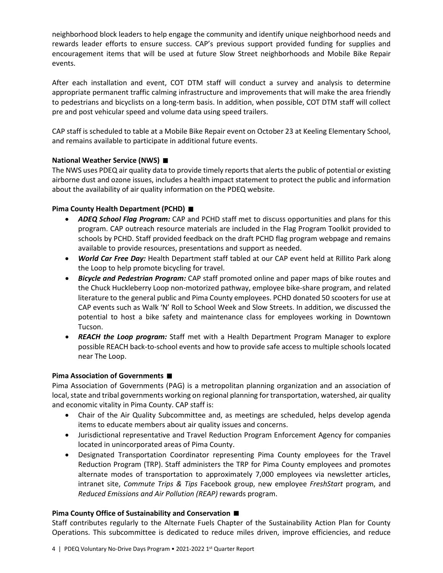neighborhood block leaders to help engage the community and identify unique neighborhood needs and rewards leader efforts to ensure success. CAP's previous support provided funding for supplies and encouragement items that will be used at future Slow Street neighborhoods and Mobile Bike Repair events.

After each installation and event, COT DTM staff will conduct a survey and analysis to determine appropriate permanent traffic calming infrastructure and improvements that will make the area friendly to pedestrians and bicyclists on a long-term basis. In addition, when possible, COT DTM staff will collect pre and post vehicular speed and volume data using speed trailers.

CAP staff is scheduled to table at a Mobile Bike Repair event on October 23 at Keeling Elementary School, and remains available to participate in additional future events.

## **National Weather Service (NWS)**

The NWS uses PDEQ air quality data to provide timely reports that alerts the public of potential or existing airborne dust and ozone issues, includes a health impact statement to protect the public and information about the availability of air quality information on the PDEQ website.

### **Pima County Health Department (PCHD)**

- *ADEQ School Flag Program:* CAP and PCHD staff met to discuss opportunities and plans for this program. CAP outreach resource materials are included in the Flag Program Toolkit provided to schools by PCHD. Staff provided feedback on the draft PCHD flag program webpage and remains available to provide resources, presentations and support as needed.
- *World Car Free Day:* Health Department staff tabled at our CAP event held at Rillito Park along the Loop to help promote bicycling for travel.
- *Bicycle and Pedestrian Program:* CAP staff promoted online and paper maps of bike routes and the Chuck Huckleberry Loop non-motorized pathway, employee bike-share program, and related literature to the general public and Pima County employees. PCHD donated 50 scooters for use at CAP events such as Walk 'N' Roll to School Week and Slow Streets. In addition, we discussed the potential to host a bike safety and maintenance class for employees working in Downtown Tucson.
- *REACH the Loop program:* Staff met with a Health Department Program Manager to explore possible REACH back-to-school events and how to provide safe access to multiple schools located near The Loop.

### **Pima Association of Governments**

Pima Association of Governments (PAG) is a metropolitan planning organization and an association of local, state and tribal governments working on regional planning for transportation, watershed, air quality and economic vitality in Pima County. CAP staff is:

- Chair of the Air Quality Subcommittee and, as meetings are scheduled, helps develop agenda items to educate members about air quality issues and concerns.
- Jurisdictional representative and Travel Reduction Program Enforcement Agency for companies located in unincorporated areas of Pima County.
- Designated Transportation Coordinator representing Pima County employees for the Travel Reduction Program (TRP). Staff administers the TRP for Pima County employees and promotes alternate modes of transportation to approximately 7,000 employees via newsletter articles, intranet site, *Commute Trips & Tips* Facebook group, new employee *FreshStart* program, and *Reduced Emissions and Air Pollution (REAP)* rewards program.

### **Pima County Office of Sustainability and Conservation**

Staff contributes regularly to the Alternate Fuels Chapter of the Sustainability Action Plan for County Operations. This subcommittee is dedicated to reduce miles driven, improve efficiencies, and reduce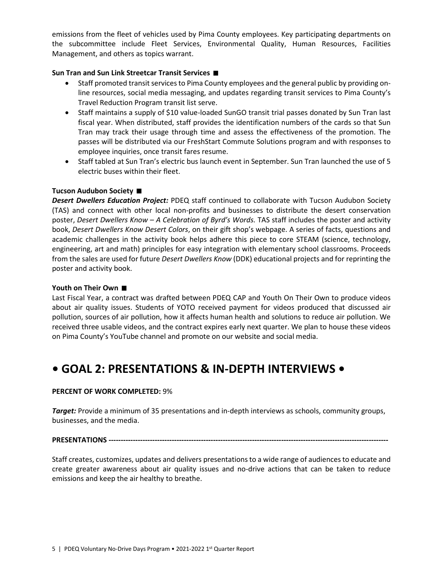emissions from the fleet of vehicles used by Pima County employees. Key participating departments on the subcommittee include Fleet Services, Environmental Quality, Human Resources, Facilities Management, and others as topics warrant.

### **Sun Tran and Sun Link Streetcar Transit Services**

- Staff promoted transit services to Pima County employees and the general public by providing online resources, social media messaging, and updates regarding transit services to Pima County's Travel Reduction Program transit list serve.
- Staff maintains a supply of \$10 value-loaded SunGO transit trial passes donated by Sun Tran last fiscal year. When distributed, staff provides the identification numbers of the cards so that Sun Tran may track their usage through time and assess the effectiveness of the promotion. The passes will be distributed via our FreshStart Commute Solutions program and with responses to employee inquiries, once transit fares resume.
- Staff tabled at Sun Tran's electric bus launch event in September. Sun Tran launched the use of 5 electric buses within their fleet.

### **Tucson Audubon Society**

*Desert Dwellers Education Project:* PDEQ staff continued to collaborate with Tucson Audubon Society (TAS) and connect with other local non-profits and businesses to distribute the desert conservation poster, *Desert Dwellers Know – A Celebration of Byrd's Words.* TAS staff includes the poster and activity book, *Desert Dwellers Know Desert Colors*, on their gift shop's webpage. A series of facts, questions and academic challenges in the activity book helps adhere this piece to core STEAM (science, technology, engineering, art and math) principles for easy integration with elementary school classrooms. Proceeds from the sales are used for future *Desert Dwellers Know* (DDK) educational projects and for reprinting the poster and activity book.

### **Youth on Their Own**

Last Fiscal Year, a contract was drafted between PDEQ CAP and Youth On Their Own to produce videos about air quality issues. Students of YOTO received payment for videos produced that discussed air pollution, sources of air pollution, how it affects human health and solutions to reduce air pollution. We received three usable videos, and the contract expires early next quarter. We plan to house these videos on Pima County's YouTube channel and promote on our website and social media.

# **• GOAL 2: PRESENTATIONS & IN-DEPTH INTERVIEWS •**

### **PERCENT OF WORK COMPLETED:** 9%

*Target:* Provide a minimum of 35 presentations and in-depth interviews as schools, community groups, businesses, and the media.

### **PRESENTATIONS --------------**

Staff creates, customizes, updates and delivers presentations to a wide range of audiences to educate and create greater awareness about air quality issues and no-drive actions that can be taken to reduce emissions and keep the air healthy to breathe.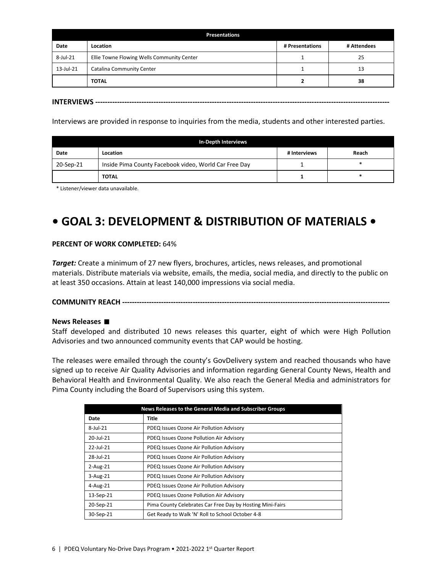| <b>Presentations</b> |                                            |                 |             |  |
|----------------------|--------------------------------------------|-----------------|-------------|--|
| Date                 | Location                                   | # Presentations | # Attendees |  |
| 8-Jul-21             | Ellie Towne Flowing Wells Community Center |                 | 25          |  |
| 13-Jul-21            | Catalina Community Center                  |                 | 13          |  |
|                      | <b>TOTAL</b>                               |                 | 38          |  |

**INTERVIEWS -------------------------------------------------------------------------------------------------------------------------**

Interviews are provided in response to inquiries from the media, students and other interested parties.

| In-Depth Interviews |                                                       |              |       |
|---------------------|-------------------------------------------------------|--------------|-------|
| Date                | Location                                              | # Interviews | Reach |
| 20-Sep-21           | Inside Pima County Facebook video, World Car Free Day |              | *     |
|                     | <b>TOTAL</b>                                          |              |       |

\* Listener/viewer data unavailable.

# **• GOAL 3: DEVELOPMENT & DISTRIBUTION OF MATERIALS •**

### **PERCENT OF WORK COMPLETED:** 64%

*Target:* Create a minimum of 27 new flyers, brochures, articles, news releases, and promotional materials. Distribute materials via website, emails, the media, social media, and directly to the public on at least 350 occasions. Attain at least 140,000 impressions via social media.

### **COMMUNITY REACH --------------------------------------------------------------------------------------------------------------**

### **News Releases**

Staff developed and distributed 10 news releases this quarter, eight of which were High Pollution Advisories and two announced community events that CAP would be hosting.

The releases were emailed through the county's GovDelivery system and reached thousands who have signed up to receive Air Quality Advisories and information regarding General County News, Health and Behavioral Health and Environmental Quality. We also reach the General Media and administrators for Pima County including the Board of Supervisors using this system.

| News Releases to the General Media and Subscriber Groups |                                                           |  |  |
|----------------------------------------------------------|-----------------------------------------------------------|--|--|
| Date                                                     | Title                                                     |  |  |
| 8-Jul-21                                                 | PDEQ Issues Ozone Air Pollution Advisory                  |  |  |
| 20-Jul-21                                                | PDEQ Issues Ozone Pollution Air Advisory                  |  |  |
| $22$ -Jul-21                                             | PDEQ Issues Ozone Air Pollution Advisory                  |  |  |
| 28-Jul-21                                                | PDEQ Issues Ozone Air Pollution Advisory                  |  |  |
| $2$ -Aug- $21$                                           | PDEQ Issues Ozone Air Pollution Advisory                  |  |  |
| $3 - Aug-21$                                             | PDEQ Issues Ozone Air Pollution Advisory                  |  |  |
| $4 - Aug-21$                                             | PDEQ Issues Ozone Air Pollution Advisory                  |  |  |
| 13-Sep-21                                                | PDEQ Issues Ozone Pollution Air Advisory                  |  |  |
| 20-Sep-21                                                | Pima County Celebrates Car Free Day by Hosting Mini-Fairs |  |  |
| 30-Sep-21                                                | Get Ready to Walk 'N' Roll to School October 4-8          |  |  |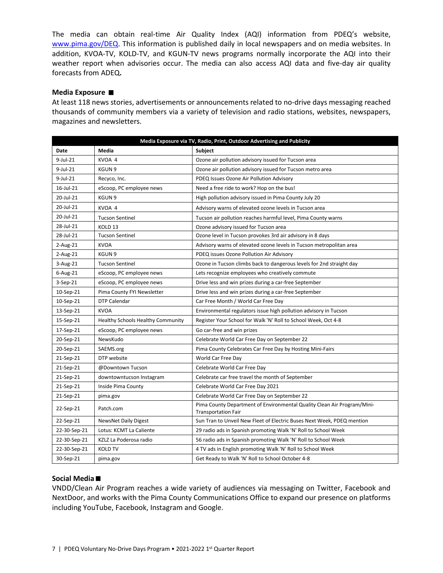The media can obtain real-time Air Quality Index (AQI) information from PDEQ's website, [www.pima.gov/DEQ.](http://www.pima.gov/DEQ) This information is published daily in local newspapers and on media websites. In addition, KVOA-TV, KOLD-TV, and KGUN-TV news programs normally incorporate the AQI into their weather report when advisories occur. The media can also access AQI data and five-day air quality forecasts from ADEQ**.**

### **Media Exposure**

At least 118 news stories, advertisements or announcements related to no-drive days messaging reached thousands of community members via a variety of television and radio stations, websites, newspapers, magazines and newsletters.

| Media Exposure via TV, Radio, Print, Outdoor Advertising and Publicity |                                   |                                                                                                       |  |
|------------------------------------------------------------------------|-----------------------------------|-------------------------------------------------------------------------------------------------------|--|
| <b>Date</b>                                                            | Media                             | <b>Subject</b>                                                                                        |  |
| 9-Jul-21                                                               | KVOA 4                            | Ozone air pollution advisory issued for Tucson area                                                   |  |
| 9-Jul-21                                                               | KGUN 9                            | Ozone air pollution advisory issued for Tucson metro area                                             |  |
| 9-Jul-21                                                               | Recyco, Inc.                      | PDEQ Issues Ozone Air Pollution Advisory                                                              |  |
| 16-Jul-21                                                              | eScoop, PC employee news          | Need a free ride to work? Hop on the bus!                                                             |  |
| 20-Jul-21                                                              | KGUN <sub>9</sub>                 | High pollution advisory issued in Pima County July 20                                                 |  |
| 20-Jul-21                                                              | KVOA 4                            | Advisory warns of elevated ozone levels in Tucson area                                                |  |
| 20-Jul-21                                                              | <b>Tucson Sentinel</b>            | Tucson air pollution reaches harmful level, Pima County warns                                         |  |
| 28-Jul-21                                                              | KOLD <sub>13</sub>                | Ozone advisory issued for Tucson area                                                                 |  |
| 28-Jul-21                                                              | <b>Tucson Sentinel</b>            | Ozone level in Tucson provokes 3rd air advisory in 8 days                                             |  |
| 2-Aug-21                                                               | <b>KVOA</b>                       | Advisory warns of elevated ozone levels in Tucson metropolitan area                                   |  |
| 2-Aug-21                                                               | KGUN <sub>9</sub>                 | PDEQ issues Ozone Pollution Air Advisory                                                              |  |
| 3-Aug-21                                                               | <b>Tucson Sentinel</b>            | Ozone in Tucson climbs back to dangerous levels for 2nd straight day                                  |  |
| 6-Aug-21                                                               | eScoop, PC employee news          | Lets recognize employees who creatively commute                                                       |  |
| 3-Sep-21                                                               | eScoop, PC employee news          | Drive less and win prizes during a car-free September                                                 |  |
| 10-Sep-21                                                              | Pima County FYI Newsletter        | Drive less and win prizes during a car-free September                                                 |  |
| 10-Sep-21                                                              | DTP Calendar                      | Car Free Month / World Car Free Day                                                                   |  |
| 13-Sep-21                                                              | <b>KVOA</b>                       | Environmental regulators issue high pollution advisory in Tucson                                      |  |
| 15-Sep-21                                                              | Healthy Schools Healthy Community | Register Your School for Walk 'N' Roll to School Week, Oct 4-8                                        |  |
| 17-Sep-21                                                              | eScoop, PC employee news          | Go car-free and win prizes                                                                            |  |
| 20-Sep-21                                                              | NewsKudo                          | Celebrate World Car Free Day on September 22                                                          |  |
| 20-Sep-21                                                              | SAEMS.org                         | Pima County Celebrates Car Free Day by Hosting Mini-Fairs                                             |  |
| 21-Sep-21                                                              | DTP website                       | World Car Free Day                                                                                    |  |
| 21-Sep-21                                                              | @Downtown Tucson                  | Celebrate World Car Free Day                                                                          |  |
| 21-Sep-21                                                              | downtowntucson Instagram          | Celebrate car free travel the month of September                                                      |  |
| 21-Sep-21                                                              | Inside Pima County                | Celebrate World Car Free Day 2021                                                                     |  |
| 21-Sep-21                                                              | pima.gov                          | Celebrate World Car Free Day on September 22                                                          |  |
| 22-Sep-21                                                              | Patch.com                         | Pima County Department of Environmental Quality Clean Air Program/Mini-<br><b>Transportation Fair</b> |  |
| 22-Sep-21                                                              | <b>NewsNet Daily Digest</b>       | Sun Tran to Unveil New Fleet of Electric Buses Next Week, PDEQ mention                                |  |
| 22-30-Sep-21                                                           | Lotus: KCMT La Caliente           | 29 radio ads in Spanish promoting Walk 'N' Roll to School Week                                        |  |
| 22-30-Sep-21                                                           | KZLZ La Poderosa radio            | 56 radio ads in Spanish promoting Walk 'N' Roll to School Week                                        |  |
| 22-30-Sep-21                                                           | <b>KOLD TV</b>                    | 4 TV ads in English promoting Walk 'N' Roll to School Week                                            |  |
| 30-Sep-21                                                              | pima.gov                          | Get Ready to Walk 'N' Roll to School October 4-8                                                      |  |

### **Social Media**

VNDD/Clean Air Program reaches a wide variety of audiences via messaging on Twitter, Facebook and NextDoor, and works with the Pima County Communications Office to expand our presence on platforms including YouTube, Facebook, Instagram and Google.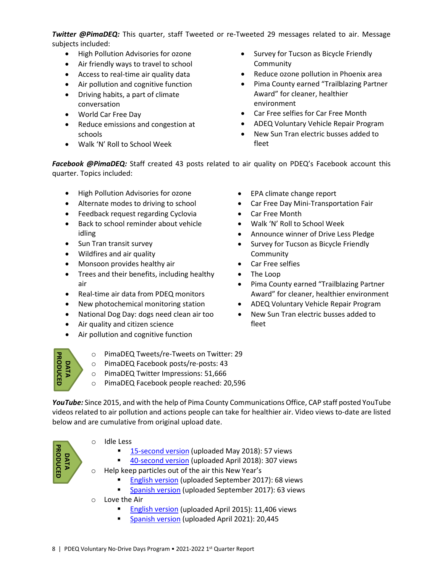*Twitter @PimaDEQ:* This quarter, staff Tweeted or re-Tweeted 29 messages related to air. Message subjects included:

- High Pollution Advisories for ozone
- Air friendly ways to travel to school
- Access to real-time air quality data
- Air pollution and cognitive function
- Driving habits, a part of climate conversation
- World Car Free Day
- Reduce emissions and congestion at schools
- Walk 'N' Roll to School Week
- Survey for Tucson as Bicycle Friendly Community
- Reduce ozone pollution in Phoenix area
- Pima County earned "Trailblazing Partner Award" for cleaner, healthier environment
- Car Free selfies for Car Free Month
- ADEQ Voluntary Vehicle Repair Program
- New Sun Tran electric busses added to fleet

*Facebook @PimaDEQ:* Staff created 43 posts related to air quality on PDEQ's Facebook account this quarter. Topics included:

- High Pollution Advisories for ozone
- Alternate modes to driving to school
- Feedback request regarding Cyclovia
- Back to school reminder about vehicle idling
- Sun Tran transit survey
- Wildfires and air quality
- Monsoon provides healthy air
- Trees and their benefits, including healthy air
- Real-time air data from PDEQ monitors
- New photochemical monitoring station
- National Dog Day: dogs need clean air too
- Air quality and citizen science
- Air pollution and cognitive function
- EPA climate change report
- Car Free Day Mini-Transportation Fair
- Car Free Month
- Walk 'N' Roll to School Week
- Announce winner of Drive Less Pledge
- Survey for Tucson as Bicycle Friendly Community
- Car Free selfies
- The Loop
- Pima County earned "Trailblazing Partner Award" for cleaner, healthier environment
- ADEQ Voluntary Vehicle Repair Program
- New Sun Tran electric busses added to fleet



- o PimaDEQ Tweets/re-Tweets on Twitter: 29
- o PimaDEQ Facebook posts/re-posts: 43
- o PimaDEQ Twitter Impressions: 51,666
- o PimaDEQ Facebook people reached: 20,596

*YouTube:* Since 2015, and with the help of Pima County Communications Office, CAP staff posted YouTube videos related to air pollution and actions people can take for healthier air. Video views to-date are listed below and are cumulative from original upload date.



- o Idle Less
	- [15-second version](https://www.youtube.com/watch?app=desktop&v=KLATtmheK2E&feature=youtu.be) (uploaded May 2018): 57 views
	- [40-second version](https://www.youtube.com/watch?app=desktop&v=Irp00_RMnqo&feature=youtu.be) (uploaded April 2018): 307 views
- o Help keep particles out of the air this New Year's
	- [English version](https://www.youtube.com/watch?app=desktop&v=YS6Uxl4cBSg&feature=youtu.be) (uploaded September 2017): 68 views
	- **[Spanish version](https://www.youtube.com/watch?app=desktop&v=T45EuZZkjwI&feature=youtu.be) (uploaded September 2017): 63 views**
- o Love the Air
	- **[English version](https://www.youtube.com/watch?app=desktop&v=MCnjl_SkoCQ) (uploaded April 2015): 11,406 views**
	- **[Spanish version](https://www.youtube.com/watch?app=desktop&v=MCnjl_SkoCQ) (uploaded April 2021): 20,445**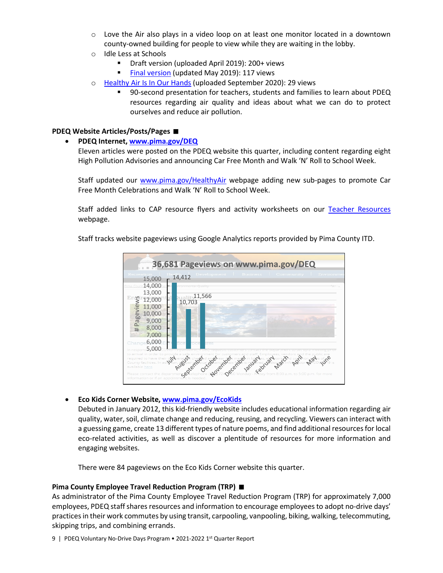- $\circ$  Love the Air also plays in a video loop on at least one monitor located in a downtown county-owned building for people to view while they are waiting in the lobby.
- o Idle Less at Schools
	- Draft version (uploaded April 2019): 200+ views
	- [Final version](https://www.youtube.com/watch?app=desktop&v=B1GKSYz3is4) (updated May 2019): 117 views
- o [Healthy Air Is In Our Hands](https://www.youtube.com/watch?app=desktop&v=U_wIMNNtaYo&feature=youtu.be) (uploaded September 2020): 29 views
	- 90-second presentation for teachers, students and families to learn about PDEQ resources regarding air quality and ideas about what we can do to protect ourselves and reduce air pollution.

### **PDEQ Website Articles/Posts/Pages**

### • **PDEQ Internet, [www.pima.gov/DEQ](http://www.pima.gov/DEQ)**

Eleven articles were posted on the PDEQ website this quarter, including content regarding eight High Pollution Advisories and announcing Car Free Month and Walk 'N' Roll to School Week.

Staff updated our [www.pima.gov/HealthyAir](http://www.pima.gov/HealthyAir) webpage adding new sub-pages to promote Car Free Month Celebrations and Walk 'N' Roll to School Week.

Staff added links to CAP resource flyers and activity worksheets on our [Teacher Resources](https://webcms.pima.gov/cms/one.aspx?portalId=169&pageId=62215) webpage.

Staff tracks website pageviews using Google Analytics reports provided by Pima County ITD.



• **Eco Kids Corner Website[, www.pima.gov/EcoKids](http://www.pima.gov/EcoKids)**

Debuted in January 2012, this kid-friendly website includes educational information regarding air quality, water, soil, climate change and reducing, reusing, and recycling. Viewers can interact with a guessing game, create 13 different types of nature poems, and find additional resources for local eco-related activities, as well as discover a plentitude of resources for more information and engaging websites.

There were 84 pageviews on the Eco Kids Corner website this quarter.

### **Pima County Employee Travel Reduction Program (TRP)**

As administrator of the Pima County Employee Travel Reduction Program (TRP) for approximately 7,000 employees, PDEQ staff shares resources and information to encourage employees to adopt no-drive days' practices in their work commutes by using transit, carpooling, vanpooling, biking, walking, telecommuting, skipping trips, and combining errands.

9 | PDEQ Voluntary No-Drive Days Program • 2021-2022 1<sup>st</sup> Quarter Report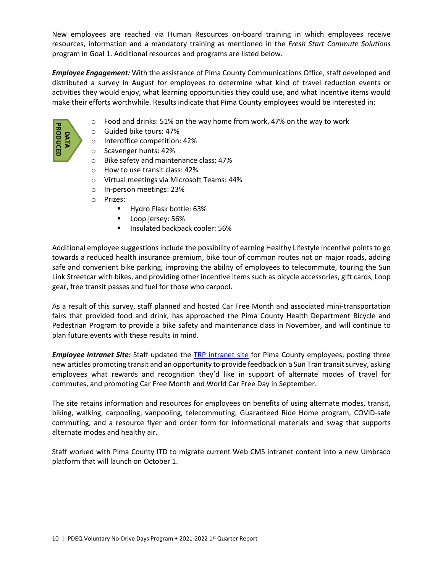New employees are reached via Human Resources on-board training in which employees receive resources, information and a mandatory training as mentioned in the *Fresh Start Commute Solutions* program in Goal 1. Additional resources and programs are listed below.

*Employee Engagement:* With the assistance of Pima County Communications Office, staff developed and distributed a survey in August for employees to determine what kind of travel reduction events or activities they would enjoy, what learning opportunities they could use, and what incentive items would make their efforts worthwhile. Results indicate that Pima County employees would be interested in:

- $\circ$  Food and drinks: 51% on the way home from work, 47% on the way to work
- o Guided bike tours: 47%
- o Interoffice competition: 42%
- o Scavenger hunts: 42%
- o Bike safety and maintenance class: 47%
- o How to use transit class: 42%
- o Virtual meetings via Microsoft Teams: 44%
- o In-person meetings: 23%
- o Prizes:
	- **Hydro Flask bottle: 63%**
	- **Loop jersey: 56%**
	- Insulated backpack cooler: 56%

Additional employee suggestions include the possibility of earning Healthy Lifestyle incentive points to go towards a reduced health insurance premium, bike tour of common routes not on major roads, adding safe and convenient bike parking, improving the ability of employees to telecommute, touring the Sun Link Streetcar with bikes, and providing other incentive items such as bicycle accessories, gift cards, Loop gear, free transit passes and fuel for those who carpool. **Example 1. The Controllering Controllering Scheman Controllering Scheman Controllering Scheman Controllering Scheman Controllering Scheman Controllering Scheman Controllering Scheman Controllering Controllering Controller** 

As a result of this survey, staff planned and hosted Car Free Month and associated mini-transportation fairs that provided food and drink, has approached the Pima County Health Department Bicycle and Pedestrian Program to provide a bike safety and maintenance class in November, and will continue to plan future events with these results in mind.

*Employee Intranet Site:* Staff updated the [TRP intranet site](https://intranet2.pima.gov/department-intranets/environmental-quality/travel-reduction-program/) for Pima County employees, posting three new articles promoting transit and an opportunity to provide feedback on a Sun Tran transit survey, asking employees what rewards and recognition they'd like in support of alternate modes of travel for commutes, and promoting Car Free Month and World Car Free Day in September.

The site retains information and resources for employees on benefits of using alternate modes, transit, biking, walking, carpooling, vanpooling, telecommuting, Guaranteed Ride Home program, COVID-safe commuting, and a resource flyer and order form for informational materials and swag that supports alternate modes and healthy air.

Staff worked with Pima County ITD to migrate current Web CMS intranet content into a new Umbraco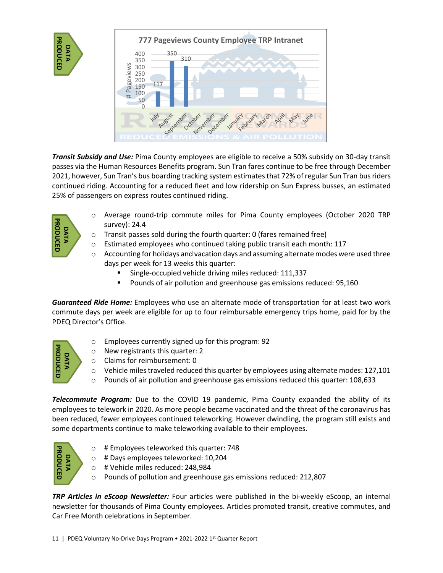



*Transit Subsidy and Use:* Pima County employees are eligible to receive a 50% subsidy on 30-day transit passes via the Human Resources Benefits program. Sun Tran fares continue to be free through December 2021, however, Sun Tran's bus boarding tracking system estimates that 72% of regular Sun Tran bus riders continued riding. Accounting for a reduced fleet and low ridership on Sun Express busses, an estimated 25% of passengers on express routes continued riding.

- o Average round-trip commute miles for Pima County employees (October 2020 TRP survey): 24.4
	- o Transit passes sold during the fourth quarter: 0 (fares remained free)
	- $\circ$  Estimated employees who continued taking public transit each month: 117
	- $\circ$  Accounting for holidays and vacation days and assuming alternate modes were used three days per week for 13 weeks this quarter:
		- Single-occupied vehicle driving miles reduced: 111,337
		- **Pounds of air pollution and greenhouse gas emissions reduced: 95,160**

*Guaranteed Ride Home:* Employees who use an alternate mode of transportation for at least two work commute days per week are eligible for up to four reimbursable emergency trips home, paid for by the PDEQ Director's Office.



**DATA PRODUCED**

**PRODUCED** 

- o Employees currently signed up for this program: 92
- o New registrants this quarter: 2
- o Claims for reimbursement: 0
- $\circ$  Vehicle miles traveled reduced this quarter by employees using alternate modes: 127,101
- $\circ$  Pounds of air pollution and greenhouse gas emissions reduced this quarter: 108,633

*Telecommute Program:* Due to the COVID 19 pandemic, Pima County expanded the ability of its employees to telework in 2020. As more people became vaccinated and the threat of the coronavirus has been reduced, fewer employees continued teleworking. However dwindling, the program still exists and some departments continue to make teleworking available to their employees.



- o # Employees teleworked this quarter: 748
- o # Days employees teleworked: 10,204
- o # Vehicle miles reduced: 248,984
- o Pounds of pollution and greenhouse gas emissions reduced: 212,807

*TRP Articles in eScoop Newsletter:* Four articles were published in the bi-weekly eScoop, an internal newsletter for thousands of Pima County employees. Articles promoted transit, creative commutes, and Car Free Month celebrations in September.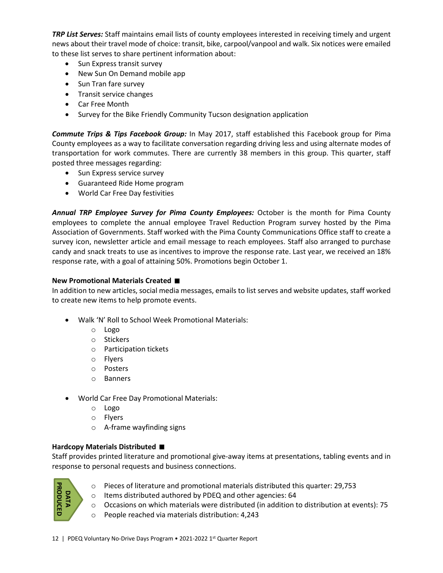*TRP List Serves:* Staff maintains email lists of county employees interested in receiving timely and urgent news about their travel mode of choice: transit, bike, carpool/vanpool and walk. Six notices were emailed to these list serves to share pertinent information about:

- Sun Express transit survey
- New Sun On Demand mobile app
- Sun Tran fare survey
- Transit service changes
- Car Free Month
- Survey for the Bike Friendly Community Tucson designation application

*Commute Trips & Tips Facebook Group:* In May 2017, staff established this Facebook group for Pima County employees as a way to facilitate conversation regarding driving less and using alternate modes of transportation for work commutes. There are currently 38 members in this group. This quarter, staff posted three messages regarding:

- Sun Express service survey
- Guaranteed Ride Home program
- World Car Free Day festivities

*Annual TRP Employee Survey for Pima County Employees:* October is the month for Pima County employees to complete the annual employee Travel Reduction Program survey hosted by the Pima Association of Governments. Staff worked with the Pima County Communications Office staff to create a survey icon, newsletter article and email message to reach employees. Staff also arranged to purchase candy and snack treats to use as incentives to improve the response rate. Last year, we received an 18% response rate, with a goal of attaining 50%. Promotions begin October 1.

### **New Promotional Materials Created**

In addition to new articles, social media messages, emails to list serves and website updates, staff worked to create new items to help promote events.

- Walk 'N' Roll to School Week Promotional Materials:
	- o Logo
	- o Stickers
	- o Participation tickets
	- o Flyers
	- o Posters
	- o Banners
- World Car Free Day Promotional Materials:
	- o Logo
	- o Flyers
	- o A-frame wayfinding signs

### **Hardcopy Materials Distributed**

Staff provides printed literature and promotional give-away items at presentations, tabling events and in response to personal requests and business connections.



- o Pieces of literature and promotional materials distributed this quarter: 29,753
- o Items distributed authored by PDEQ and other agencies: 64
- o Occasions on which materials were distributed (in addition to distribution at events): 75
- o People reached via materials distribution: 4,243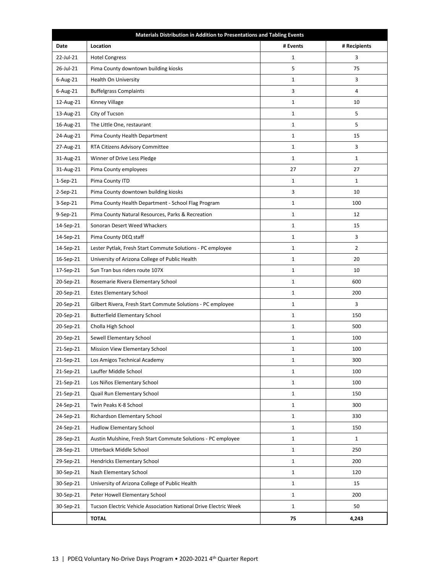| Materials Distribution in Addition to Presentations and Tabling Events |                                                                  |              |                |  |  |
|------------------------------------------------------------------------|------------------------------------------------------------------|--------------|----------------|--|--|
| Date                                                                   | Location                                                         | # Events     | # Recipients   |  |  |
| 22-Jul-21                                                              | <b>Hotel Congress</b>                                            | $\mathbf 1$  | 3              |  |  |
| 26-Jul-21                                                              | Pima County downtown building kiosks                             | 5            | 75             |  |  |
| $6$ -Aug-21                                                            | Health On University                                             | $\mathbf{1}$ | 3              |  |  |
| $6 - Aug-21$                                                           | <b>Buffelgrass Complaints</b>                                    | 3            | 4              |  |  |
| 12-Aug-21                                                              | Kinney Village                                                   | $\mathbf{1}$ | 10             |  |  |
| 13-Aug-21                                                              | City of Tucson                                                   | $\mathbf{1}$ | 5              |  |  |
| 16-Aug-21                                                              | The Little One, restaurant                                       | $\mathbf{1}$ | 5              |  |  |
| 24-Aug-21                                                              | Pima County Health Department                                    | $\mathbf{1}$ | 15             |  |  |
| 27-Aug-21                                                              | RTA Citizens Advisory Committee                                  | $\mathbf{1}$ | 3              |  |  |
| 31-Aug-21                                                              | Winner of Drive Less Pledge                                      | $\mathbf{1}$ | $\mathbf{1}$   |  |  |
| 31-Aug-21                                                              | Pima County employees                                            | 27           | 27             |  |  |
| $1-Sep-21$                                                             | Pima County ITD                                                  | $\mathbf{1}$ | $\mathbf{1}$   |  |  |
| $2-Sep-21$                                                             | Pima County downtown building kiosks                             | 3            | 10             |  |  |
| 3-Sep-21                                                               | Pima County Health Department - School Flag Program              | $\mathbf 1$  | 100            |  |  |
| 9-Sep-21                                                               | Pima County Natural Resources, Parks & Recreation                | $\mathbf{1}$ | 12             |  |  |
| 14-Sep-21                                                              | Sonoran Desert Weed Whackers                                     | $\mathbf{1}$ | 15             |  |  |
| 14-Sep-21                                                              | Pima County DEQ staff                                            | $\mathbf{1}$ | 3              |  |  |
| 14-Sep-21                                                              | Lester Pytlak, Fresh Start Commute Solutions - PC employee       | $\mathbf{1}$ | $\overline{2}$ |  |  |
| 16-Sep-21                                                              | University of Arizona College of Public Health                   | $\mathbf{1}$ | 20             |  |  |
| 17-Sep-21                                                              | Sun Tran bus riders route 107X                                   | $\mathbf{1}$ | 10             |  |  |
| 20-Sep-21                                                              | Rosemarie Rivera Elementary School                               | $\mathbf{1}$ | 600            |  |  |
| 20-Sep-21                                                              | <b>Estes Elementary School</b>                                   | $\mathbf{1}$ | 200            |  |  |
| 20-Sep-21                                                              | Gilbert Rivera, Fresh Start Commute Solutions - PC employee      | $\mathbf{1}$ | 3              |  |  |
| 20-Sep-21                                                              | <b>Butterfield Elementary School</b>                             | $\mathbf{1}$ | 150            |  |  |
| 20-Sep-21                                                              | Cholla High School                                               | $\mathbf{1}$ | 500            |  |  |
| 20-Sep-21                                                              | Sewell Elementary School                                         | $\mathbf{1}$ | 100            |  |  |
| 21-Sep-21                                                              | Mission View Elementary School                                   | $1\,$        | 100            |  |  |
| 21-Sep-21                                                              | Los Amigos Technical Academy                                     | $\mathbf{1}$ | 300            |  |  |
| 21-Sep-21                                                              | Lauffer Middle School                                            | $\mathbf{1}$ | 100            |  |  |
| 21-Sep-21                                                              | Los Niños Elementary School                                      | $\mathbf{1}$ | 100            |  |  |
| 21-Sep-21                                                              | Quail Run Elementary School                                      | $\mathbf 1$  | 150            |  |  |
| 24-Sep-21                                                              | Twin Peaks K-8 School                                            | $\mathbf{1}$ | 300            |  |  |
| 24-Sep-21                                                              | Richardson Elementary School                                     | $\mathbf{1}$ | 330            |  |  |
| 24-Sep-21                                                              | <b>Hudlow Elementary School</b>                                  | $\mathbf{1}$ | 150            |  |  |
| 28-Sep-21                                                              | Austin Mulshine, Fresh Start Commute Solutions - PC employee     | $\mathbf{1}$ | $\mathbf{1}$   |  |  |
| 28-Sep-21                                                              | Utterback Middle School                                          | $\mathbf{1}$ | 250            |  |  |
| 29-Sep-21                                                              | Hendricks Elementary School                                      | $\mathbf 1$  | 200            |  |  |
| 30-Sep-21                                                              | Nash Elementary School                                           | $\mathbf{1}$ | 120            |  |  |
| 30-Sep-21                                                              | University of Arizona College of Public Health                   | $\mathbf{1}$ | 15             |  |  |
| 30-Sep-21                                                              | Peter Howell Elementary School                                   | $\mathbf{1}$ | 200            |  |  |
| 30-Sep-21                                                              | Tucson Electric Vehicle Association National Drive Electric Week | $\mathbf{1}$ | 50             |  |  |
|                                                                        | <b>TOTAL</b>                                                     | 75           | 4,243          |  |  |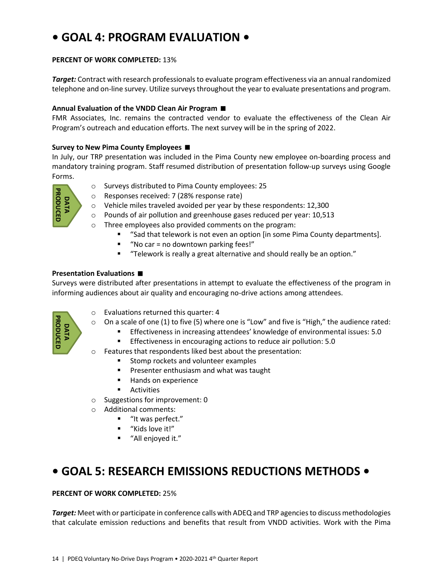# **• GOAL 4: PROGRAM EVALUATION •**

### **PERCENT OF WORK COMPLETED:** 13%

*Target:* Contract with research professionals to evaluate program effectiveness via an annual randomized telephone and on-line survey. Utilize surveys throughout the year to evaluate presentations and program.

### **Annual Evaluation of the VNDD Clean Air Program**

FMR Associates, Inc. remains the contracted vendor to evaluate the effectiveness of the Clean Air Program's outreach and education efforts. The next survey will be in the spring of 2022.

### **Survey to New Pima County Employees**

In July, our TRP presentation was included in the Pima County new employee on-boarding process and mandatory training program. Staff resumed distribution of presentation follow-up surveys using Google Forms.



- o Surveys distributed to Pima County employees: 25
- o Responses received: 7 (28% response rate)
- o Vehicle miles traveled avoided per year by these respondents: 12,300
- o Pounds of air pollution and greenhouse gases reduced per year: 10,513
- o Three employees also provided comments on the program:
	- "Sad that telework is not even an option [in some Pima County departments].
	- "No car = no downtown parking fees!"
	- "Telework is really a great alternative and should really be an option."

### **Presentation Evaluations**

Surveys were distributed after presentations in attempt to evaluate the effectiveness of the program in informing audiences about air quality and encouraging no-drive actions among attendees.



- o Evaluations returned this quarter: 4
- $\circ$  On a scale of one (1) to five (5) where one is "Low" and five is "High," the audience rated:
	- Effectiveness in increasing attendees' knowledge of environmental issues: 5.0
		- **Effectiveness in encouraging actions to reduce air pollution: 5.0**
- o Features that respondents liked best about the presentation:
	- **Stomp rockets and volunteer examples**
	- **Presenter enthusiasm and what was taught**
	- **Hands on experience**
	- **Activities**
- o Suggestions for improvement: 0
- $\circ$  Additional comments:
	- "It was perfect."
	- "Kids love it!"
	- "All enjoyed it."

# **• GOAL 5: RESEARCH EMISSIONS REDUCTIONS METHODS •**

### **PERCENT OF WORK COMPLETED:** 25%

*Target:* Meet with or participate in conference calls with ADEQ and TRP agencies to discuss methodologies The employee station reductions and benefits that calculate emission reductions and benefits that result from VNDD activities.<br>
The employees also provided comments on the program:<br>
The emission provided comments on the p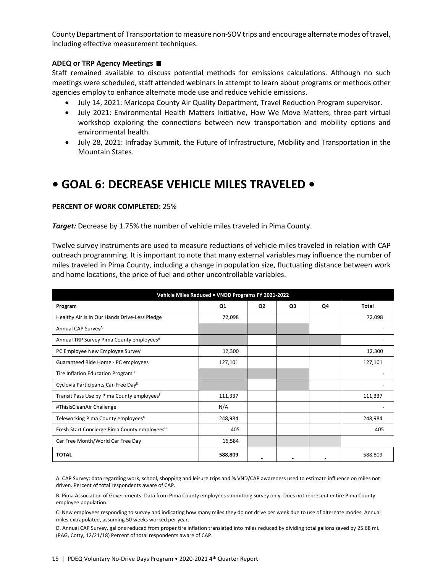County Department of Transportation to measure non-SOV trips and encourage alternate modes of travel, including effective measurement techniques.

### **ADEQ or TRP Agency Meetings**

Staff remained available to discuss potential methods for emissions calculations. Although no such meetings were scheduled, staff attended webinars in attempt to learn about programs or methods other agencies employ to enhance alternate mode use and reduce vehicle emissions.

- July 14, 2021: Maricopa County Air Quality Department, Travel Reduction Program supervisor.
- July 2021: Environmental Health Matters Initiative, How We Move Matters, three-part virtual workshop exploring the connections between new transportation and mobility options and environmental health.
- July 28, 2021: Infraday Summit, the Future of Infrastructure, Mobility and Transportation in the Mountain States.

# **• GOAL 6: DECREASE VEHICLE MILES TRAVELED •**

### **PERCENT OF WORK COMPLETED:** 25%

*Target:* Decrease by 1.75% the number of vehicle miles traveled in Pima County.

Twelve survey instruments are used to measure reductions of vehicle miles traveled in relation with CAP outreach programming. It is important to note that many external variables may influence the number of miles traveled in Pima County, including a change in population size, fluctuating distance between work and home locations, the price of fuel and other uncontrollable variables.

| Vehicle Miles Reduced . VNDD Programs FY 2021-2022       |         |                |    |    |              |
|----------------------------------------------------------|---------|----------------|----|----|--------------|
| Program                                                  | Q1      | Q <sub>2</sub> | Q3 | Q4 | <b>Total</b> |
| Healthy Air Is In Our Hands Drive-Less Pledge            | 72,098  |                |    |    | 72,098       |
| Annual CAP Survey <sup>A</sup>                           |         |                |    |    |              |
| Annual TRP Survey Pima County employees <sup>B</sup>     |         |                |    |    |              |
| PC Employee New Employee Survey <sup>C</sup>             | 12,300  |                |    |    | 12,300       |
| Guaranteed Ride Home - PC employees                      | 127,101 |                |    |    | 127,101      |
| Tire Inflation Education Program <sup>D</sup>            |         |                |    |    |              |
| Cyclovia Participants Car-Free Day <sup>E</sup>          |         |                |    |    |              |
| Transit Pass Use by Pima County employees <sup>F</sup>   | 111,337 |                |    |    | 111,337      |
| #ThisIsCleanAir Challenge                                | N/A     |                |    |    |              |
| Teleworking Pima County employees <sup>G</sup>           | 248,984 |                |    |    | 248,984      |
| Fresh Start Concierge Pima County employees <sup>H</sup> | 405     |                |    |    | 405          |
| Car Free Month/World Car Free Day                        | 16,584  |                |    |    |              |
| <b>TOTAL</b>                                             | 588,809 |                |    |    | 588,809      |

A. CAP Survey: data regarding work, school, shopping and leisure trips and % VND/CAP awareness used to estimate influence on miles not driven. Percent of total respondents aware of CAP.

B. Pima Association of Governments: Data from Pima County employees submitting survey only. Does not represent entire Pima County employee population.

C. New employees responding to survey and indicating how many miles they do not drive per week due to use of alternate modes. Annual miles extrapolated, assuming 50 weeks worked per year.

D. Annual CAP Survey, gallons reduced from proper tire inflation translated into miles reduced by dividing total gallons saved by 25.68 mi. (PAG, Cotty, 12/21/18) Percent of total respondents aware of CAP.